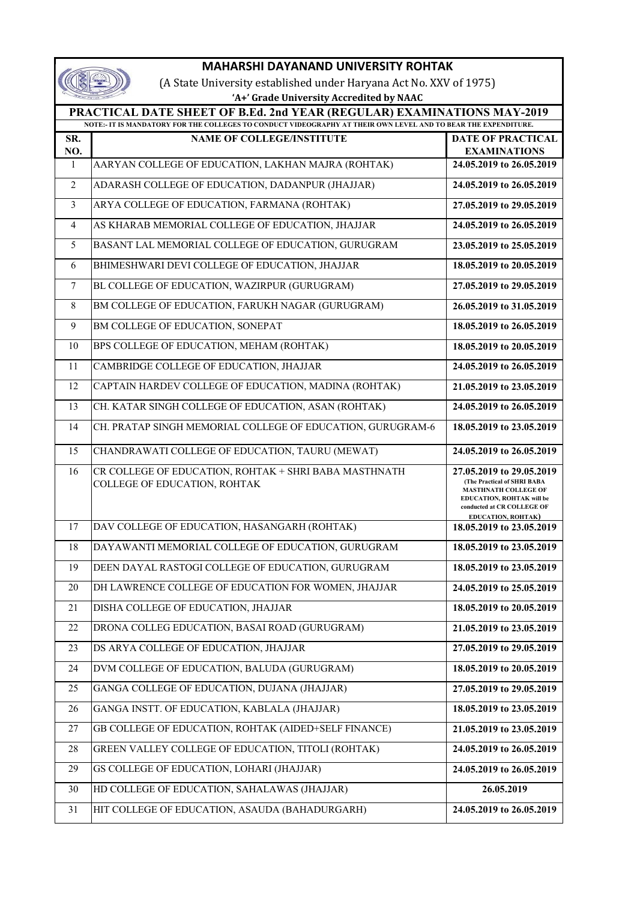(A State University established under Haryana Act No. XXV of 1975) **'A+' Grade University Accredited by NAAC**

**CE** 

|              | PRACTICAL DATE SHEET OF B.Ed. 2nd YEAR (REGULAR) EXAMINATIONS MAY-2019<br>NOTE:- IT IS MANDATORY FOR THE COLLEGES TO CONDUCT VIDEOGRAPHY AT THEIR OWN LEVEL AND TO BEAR THE EXPENDITURE. |                                                                                                                                                                                       |  |
|--------------|------------------------------------------------------------------------------------------------------------------------------------------------------------------------------------------|---------------------------------------------------------------------------------------------------------------------------------------------------------------------------------------|--|
| SR.<br>NO.   | <b>NAME OF COLLEGE/INSTITUTE</b>                                                                                                                                                         | <b>DATE OF PRACTICAL</b><br><b>EXAMINATIONS</b>                                                                                                                                       |  |
| $\mathbf{1}$ | AARYAN COLLEGE OF EDUCATION, LAKHAN MAJRA (ROHTAK)                                                                                                                                       | 24.05.2019 to 26.05.2019                                                                                                                                                              |  |
| 2            | ADARASH COLLEGE OF EDUCATION, DADANPUR (JHAJJAR)                                                                                                                                         | 24.05.2019 to 26.05.2019                                                                                                                                                              |  |
| 3            | ARYA COLLEGE OF EDUCATION, FARMANA (ROHTAK)                                                                                                                                              | 27.05.2019 to 29.05.2019                                                                                                                                                              |  |
| 4            | AS KHARAB MEMORIAL COLLEGE OF EDUCATION, JHAJJAR                                                                                                                                         | 24.05.2019 to 26.05.2019                                                                                                                                                              |  |
| 5            | BASANT LAL MEMORIAL COLLEGE OF EDUCATION, GURUGRAM                                                                                                                                       | 23.05.2019 to 25.05.2019                                                                                                                                                              |  |
| 6            | BHIMESHWARI DEVI COLLEGE OF EDUCATION, JHAJJAR                                                                                                                                           | 18.05.2019 to 20.05.2019                                                                                                                                                              |  |
| 7            | BL COLLEGE OF EDUCATION, WAZIRPUR (GURUGRAM)                                                                                                                                             | 27.05.2019 to 29.05.2019                                                                                                                                                              |  |
| 8            | BM COLLEGE OF EDUCATION, FARUKH NAGAR (GURUGRAM)                                                                                                                                         | 26.05.2019 to 31.05.2019                                                                                                                                                              |  |
| 9            | BM COLLEGE OF EDUCATION, SONEPAT                                                                                                                                                         | 18.05.2019 to 26.05.2019                                                                                                                                                              |  |
| 10           | BPS COLLEGE OF EDUCATION, MEHAM (ROHTAK)                                                                                                                                                 | 18.05.2019 to 20.05.2019                                                                                                                                                              |  |
| 11           | CAMBRIDGE COLLEGE OF EDUCATION, JHAJJAR                                                                                                                                                  | 24.05.2019 to 26.05.2019                                                                                                                                                              |  |
| 12           | CAPTAIN HARDEV COLLEGE OF EDUCATION, MADINA (ROHTAK)                                                                                                                                     | 21.05.2019 to 23.05.2019                                                                                                                                                              |  |
| 13           | CH. KATAR SINGH COLLEGE OF EDUCATION, ASAN (ROHTAK)                                                                                                                                      | 24.05.2019 to 26.05.2019                                                                                                                                                              |  |
| 14           | CH. PRATAP SINGH MEMORIAL COLLEGE OF EDUCATION, GURUGRAM-6                                                                                                                               | 18.05.2019 to 23.05.2019                                                                                                                                                              |  |
| 15           | CHANDRAWATI COLLEGE OF EDUCATION, TAURU (MEWAT)                                                                                                                                          | 24.05.2019 to 26.05.2019                                                                                                                                                              |  |
| 16           | CR COLLEGE OF EDUCATION, ROHTAK + SHRI BABA MASTHNATH<br>COLLEGE OF EDUCATION, ROHTAK                                                                                                    | 27.05.2019 to 29.05.2019<br>(The Practical of SHRI BABA<br><b>MASTHNATH COLLEGE OF</b><br><b>EDUCATION, ROHTAK will be</b><br>conducted at CR COLLEGE OF<br><b>EDUCATION, ROHTAK)</b> |  |
| 17           | DAV COLLEGE OF EDUCATION, HASANGARH (ROHTAK)                                                                                                                                             | 18.05.2019 to 23.05.2019                                                                                                                                                              |  |
| 18           | DAYAWANTI MEMORIAL COLLEGE OF EDUCATION, GURUGRAM                                                                                                                                        | 18.05.2019 to 23.05.2019                                                                                                                                                              |  |
| 19           | DEEN DAYAL RASTOGI COLLEGE OF EDUCATION, GURUGRAM                                                                                                                                        | 18.05.2019 to 23.05.2019                                                                                                                                                              |  |
| $20\,$       | DH LAWRENCE COLLEGE OF EDUCATION FOR WOMEN, JHAJJAR                                                                                                                                      | 24.05.2019 to 25.05.2019                                                                                                                                                              |  |
| 21           | DISHA COLLEGE OF EDUCATION, JHAJJAR                                                                                                                                                      | 18.05.2019 to 20.05.2019                                                                                                                                                              |  |
| 22           | DRONA COLLEG EDUCATION, BASAI ROAD (GURUGRAM)                                                                                                                                            | 21.05.2019 to 23.05.2019                                                                                                                                                              |  |
| 23           | DS ARYA COLLEGE OF EDUCATION, JHAJJAR                                                                                                                                                    | 27.05.2019 to 29.05.2019                                                                                                                                                              |  |
| 24           | DVM COLLEGE OF EDUCATION, BALUDA (GURUGRAM)                                                                                                                                              | 18.05.2019 to 20.05.2019                                                                                                                                                              |  |
| 25           | GANGA COLLEGE OF EDUCATION, DUJANA (JHAJJAR)                                                                                                                                             | 27.05.2019 to 29.05.2019                                                                                                                                                              |  |
| 26           | GANGA INSTT. OF EDUCATION, KABLALA (JHAJJAR)                                                                                                                                             | 18.05.2019 to 23.05.2019                                                                                                                                                              |  |
| 27           | GB COLLEGE OF EDUCATION, ROHTAK (AIDED+SELF FINANCE)                                                                                                                                     | 21.05.2019 to 23.05.2019                                                                                                                                                              |  |
| 28           | GREEN VALLEY COLLEGE OF EDUCATION, TITOLI (ROHTAK)                                                                                                                                       | 24.05.2019 to 26.05.2019                                                                                                                                                              |  |
| 29           | GS COLLEGE OF EDUCATION, LOHARI (JHAJJAR)                                                                                                                                                | 24.05.2019 to 26.05.2019                                                                                                                                                              |  |
| 30           | HD COLLEGE OF EDUCATION, SAHALAWAS (JHAJJAR)                                                                                                                                             | 26.05.2019                                                                                                                                                                            |  |
| 31           | HIT COLLEGE OF EDUCATION, ASAUDA (BAHADURGARH)                                                                                                                                           | 24.05.2019 to 26.05.2019                                                                                                                                                              |  |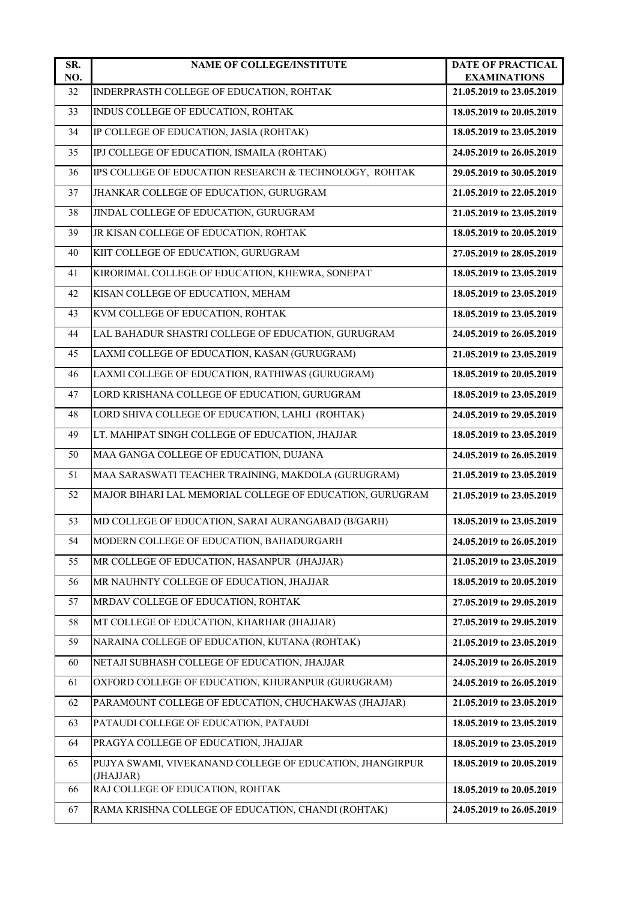| SR.<br>NO. | <b>NAME OF COLLEGE/INSTITUTE</b>                                      | <b>DATE OF PRACTICAL</b><br><b>EXAMINATIONS</b> |
|------------|-----------------------------------------------------------------------|-------------------------------------------------|
| 32         | INDERPRASTH COLLEGE OF EDUCATION, ROHTAK                              | 21.05.2019 to 23.05.2019                        |
| 33         | INDUS COLLEGE OF EDUCATION, ROHTAK                                    | 18.05.2019 to 20.05.2019                        |
| 34         | IP COLLEGE OF EDUCATION, JASIA (ROHTAK)                               | 18.05.2019 to 23.05.2019                        |
| 35         | IPJ COLLEGE OF EDUCATION, ISMAILA (ROHTAK)                            | 24.05.2019 to 26.05.2019                        |
| 36         | IPS COLLEGE OF EDUCATION RESEARCH & TECHNOLOGY, ROHTAK                | 29.05.2019 to 30.05.2019                        |
| 37         | JHANKAR COLLEGE OF EDUCATION, GURUGRAM                                | 21.05.2019 to 22.05.2019                        |
| 38         | JINDAL COLLEGE OF EDUCATION, GURUGRAM                                 | 21.05.2019 to 23.05.2019                        |
| 39         | JR KISAN COLLEGE OF EDUCATION, ROHTAK                                 | 18.05.2019 to 20.05.2019                        |
| 40         | KIIT COLLEGE OF EDUCATION, GURUGRAM                                   | 27.05.2019 to 28.05.2019                        |
| 41         | KIRORIMAL COLLEGE OF EDUCATION, KHEWRA, SONEPAT                       | 18.05.2019 to 23.05.2019                        |
| 42         | KISAN COLLEGE OF EDUCATION, MEHAM                                     | 18.05.2019 to 23.05.2019                        |
| 43         | KVM COLLEGE OF EDUCATION, ROHTAK                                      | 18.05.2019 to 23.05.2019                        |
| 44         | LAL BAHADUR SHASTRI COLLEGE OF EDUCATION, GURUGRAM                    | 24.05.2019 to 26.05.2019                        |
| 45         | LAXMI COLLEGE OF EDUCATION, KASAN (GURUGRAM)                          | 21.05.2019 to 23.05.2019                        |
| 46         | LAXMI COLLEGE OF EDUCATION, RATHIWAS (GURUGRAM)                       | 18.05.2019 to 20.05.2019                        |
| 47         | LORD KRISHANA COLLEGE OF EDUCATION, GURUGRAM                          | 18.05.2019 to 23.05.2019                        |
| 48         | LORD SHIVA COLLEGE OF EDUCATION, LAHLI (ROHTAK)                       | 24.05.2019 to 29.05.2019                        |
| 49         | LT. MAHIPAT SINGH COLLEGE OF EDUCATION, JHAJJAR                       | 18.05.2019 to 23.05.2019                        |
| 50         | MAA GANGA COLLEGE OF EDUCATION, DUJANA                                | 24.05.2019 to 26.05.2019                        |
| 51         | MAA SARASWATI TEACHER TRAINING, MAKDOLA (GURUGRAM)                    | 21.05.2019 to 23.05.2019                        |
| 52         | MAJOR BIHARI LAL MEMORIAL COLLEGE OF EDUCATION, GURUGRAM              | 21.05.2019 to 23.05.2019                        |
| 53         | MD COLLEGE OF EDUCATION, SARAI AURANGABAD (B/GARH)                    | 18.05.2019 to 23.05.2019                        |
| 54         | MODERN COLLEGE OF EDUCATION, BAHADURGARH                              | 24.05.2019 to 26.05.2019                        |
| 55         | MR COLLEGE OF EDUCATION, HASANPUR (JHAJJAR)                           | 21.05.2019 to 23.05.2019                        |
| 56         | MR NAUHNTY COLLEGE OF EDUCATION, JHAJJAR                              | 18.05.2019 to 20.05.2019                        |
| 57         | MRDAV COLLEGE OF EDUCATION, ROHTAK                                    | 27.05.2019 to 29.05.2019                        |
| 58         | MT COLLEGE OF EDUCATION, KHARHAR (JHAJJAR)                            | 27.05.2019 to 29.05.2019                        |
| 59         | NARAINA COLLEGE OF EDUCATION, KUTANA (ROHTAK)                         | 21.05.2019 to 23.05.2019                        |
| 60         | NETAJI SUBHASH COLLEGE OF EDUCATION, JHAJJAR                          | 24.05.2019 to 26.05.2019                        |
| 61         | OXFORD COLLEGE OF EDUCATION, KHURANPUR (GURUGRAM)                     | 24.05.2019 to 26.05.2019                        |
| 62         | PARAMOUNT COLLEGE OF EDUCATION, CHUCHAKWAS (JHAJJAR)                  | 21.05.2019 to 23.05.2019                        |
| 63         | PATAUDI COLLEGE OF EDUCATION, PATAUDI                                 | 18.05.2019 to 23.05.2019                        |
| 64         | PRAGYA COLLEGE OF EDUCATION, JHAJJAR                                  | 18.05.2019 to 23.05.2019                        |
| 65         | PUJYA SWAMI, VIVEKANAND COLLEGE OF EDUCATION, JHANGIRPUR<br>(JHAJJAR) | 18.05.2019 to 20.05.2019                        |
| 66         | RAJ COLLEGE OF EDUCATION, ROHTAK                                      | 18.05.2019 to 20.05.2019                        |
| 67         | RAMA KRISHNA COLLEGE OF EDUCATION, CHANDI (ROHTAK)                    | 24.05.2019 to 26.05.2019                        |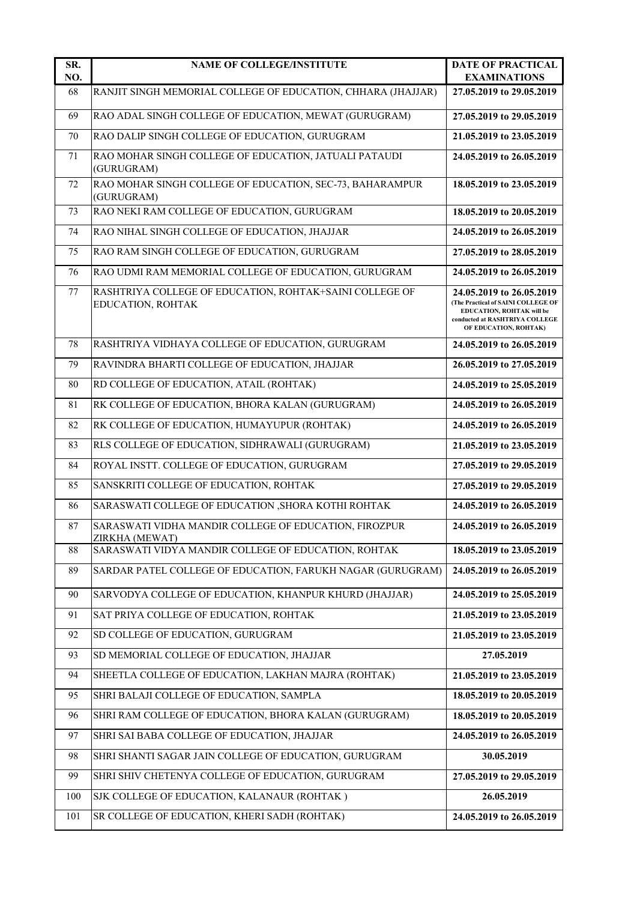| SR.<br>NO. | <b>NAME OF COLLEGE/INSTITUTE</b>                                             | <b>DATE OF PRACTICAL</b><br><b>EXAMINATIONS</b>                                                                                                               |
|------------|------------------------------------------------------------------------------|---------------------------------------------------------------------------------------------------------------------------------------------------------------|
| 68         | RANJIT SINGH MEMORIAL COLLEGE OF EDUCATION, CHHARA (JHAJJAR)                 | 27.05.2019 to 29.05.2019                                                                                                                                      |
| 69         | RAO ADAL SINGH COLLEGE OF EDUCATION, MEWAT (GURUGRAM)                        | 27.05.2019 to 29.05.2019                                                                                                                                      |
| 70         | RAO DALIP SINGH COLLEGE OF EDUCATION, GURUGRAM                               | 21.05.2019 to 23.05.2019                                                                                                                                      |
| 71         | RAO MOHAR SINGH COLLEGE OF EDUCATION, JATUALI PATAUDI<br>(GURUGRAM)          | 24.05.2019 to 26.05.2019                                                                                                                                      |
| 72         | RAO MOHAR SINGH COLLEGE OF EDUCATION, SEC-73, BAHARAMPUR<br>(GURUGRAM)       | 18.05.2019 to 23.05.2019                                                                                                                                      |
| 73         | RAO NEKI RAM COLLEGE OF EDUCATION, GURUGRAM                                  | 18.05.2019 to 20.05.2019                                                                                                                                      |
| 74         | RAO NIHAL SINGH COLLEGE OF EDUCATION, JHAJJAR                                | 24.05.2019 to 26.05.2019                                                                                                                                      |
| 75         | RAO RAM SINGH COLLEGE OF EDUCATION, GURUGRAM                                 | 27.05.2019 to 28.05.2019                                                                                                                                      |
| 76         | RAO UDMI RAM MEMORIAL COLLEGE OF EDUCATION, GURUGRAM                         | 24.05.2019 to 26.05.2019                                                                                                                                      |
| 77         | RASHTRIYA COLLEGE OF EDUCATION, ROHTAK+SAINI COLLEGE OF<br>EDUCATION, ROHTAK | 24.05.2019 to 26.05.2019<br>(The Practical of SAINI COLLEGE OF<br><b>EDUCATION, ROHTAK will be</b><br>conducted at RASHTRIYA COLLEGE<br>OF EDUCATION, ROHTAK) |
| 78         | RASHTRIYA VIDHAYA COLLEGE OF EDUCATION, GURUGRAM                             | 24.05.2019 to 26.05.2019                                                                                                                                      |
| 79         | RAVINDRA BHARTI COLLEGE OF EDUCATION, JHAJJAR                                | 26.05.2019 to 27.05.2019                                                                                                                                      |
| 80         | RD COLLEGE OF EDUCATION, ATAIL (ROHTAK)                                      | 24.05.2019 to 25.05.2019                                                                                                                                      |
| 81         | RK COLLEGE OF EDUCATION, BHORA KALAN (GURUGRAM)                              | 24.05.2019 to 26.05.2019                                                                                                                                      |
| 82         | RK COLLEGE OF EDUCATION, HUMAYUPUR (ROHTAK)                                  | 24.05.2019 to 26.05.2019                                                                                                                                      |
| 83         | RLS COLLEGE OF EDUCATION, SIDHRAWALI (GURUGRAM)                              | 21.05.2019 to 23.05.2019                                                                                                                                      |
| 84         | ROYAL INSTT. COLLEGE OF EDUCATION, GURUGRAM                                  | 27.05.2019 to 29.05.2019                                                                                                                                      |
| 85         | SANSKRITI COLLEGE OF EDUCATION, ROHTAK                                       | 27.05.2019 to 29.05.2019                                                                                                                                      |
| 86         | SARASWATI COLLEGE OF EDUCATION , SHORA KOTHI ROHTAK                          | 24.05.2019 to 26.05.2019                                                                                                                                      |
| 87         | SARASWATI VIDHA MANDIR COLLEGE OF EDUCATION, FIROZPUR<br>ZIRKHA (MEWAT)      | 24.05.2019 to 26.05.2019                                                                                                                                      |
| 88         | SARASWATI VIDYA MANDIR COLLEGE OF EDUCATION, ROHTAK                          | 18.05.2019 to 23.05.2019                                                                                                                                      |
| 89         | SARDAR PATEL COLLEGE OF EDUCATION, FARUKH NAGAR (GURUGRAM)                   | 24.05.2019 to 26.05.2019                                                                                                                                      |
| 90         | SARVODYA COLLEGE OF EDUCATION, KHANPUR KHURD (JHAJJAR)                       | 24.05.2019 to 25.05.2019                                                                                                                                      |
| 91         | SAT PRIYA COLLEGE OF EDUCATION, ROHTAK                                       | 21.05.2019 to 23.05.2019                                                                                                                                      |
| 92         | SD COLLEGE OF EDUCATION, GURUGRAM                                            | 21.05.2019 to 23.05.2019                                                                                                                                      |
| 93         | SD MEMORIAL COLLEGE OF EDUCATION, JHAJJAR                                    | 27.05.2019                                                                                                                                                    |
| 94         | SHEETLA COLLEGE OF EDUCATION, LAKHAN MAJRA (ROHTAK)                          | 21.05.2019 to 23.05.2019                                                                                                                                      |
| 95         | SHRI BALAJI COLLEGE OF EDUCATION, SAMPLA                                     | 18.05.2019 to 20.05.2019                                                                                                                                      |
| 96         | SHRI RAM COLLEGE OF EDUCATION, BHORA KALAN (GURUGRAM)                        | 18.05.2019 to 20.05.2019                                                                                                                                      |
| 97         | SHRI SAI BABA COLLEGE OF EDUCATION, JHAJJAR                                  | 24.05.2019 to 26.05.2019                                                                                                                                      |
| 98         | SHRI SHANTI SAGAR JAIN COLLEGE OF EDUCATION, GURUGRAM                        | 30.05.2019                                                                                                                                                    |
| 99         | SHRI SHIV CHETENYA COLLEGE OF EDUCATION, GURUGRAM                            | 27.05.2019 to 29.05.2019                                                                                                                                      |
| 100        | SJK COLLEGE OF EDUCATION, KALANAUR (ROHTAK)                                  | 26.05.2019                                                                                                                                                    |
| 101        | SR COLLEGE OF EDUCATION, KHERI SADH (ROHTAK)                                 | 24.05.2019 to 26.05.2019                                                                                                                                      |